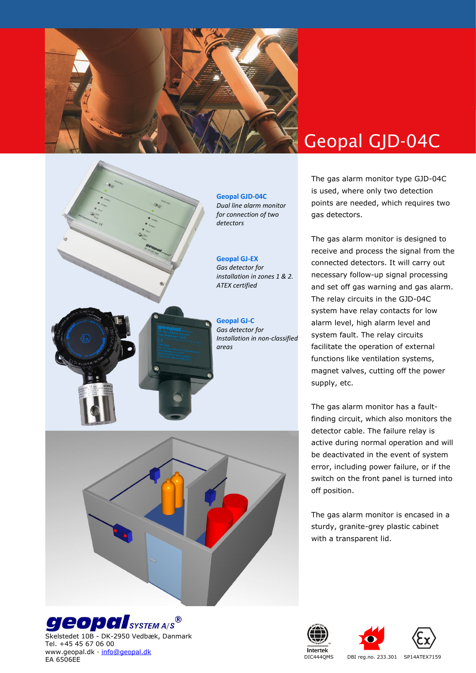





Skelstedet 10B - DK-2950 Vedbæk, Danmark Tel. +45 45 67 06 00 www.geopal.dk · [info@geopal.dk](mailto:info@geopal.dk) EA 6506EE

# Geopal GJD-04C

The gas alarm monitor type GJD-04C is used, where only two detection points are needed, which requires two gas detectors.

The gas alarm monitor is designed to receive and process the signal from the connected detectors. It will carry out necessary follow-up signal processing and set off gas warning and gas alarm. The relay circuits in the GJD-04C system have relay contacts for low alarm level, high alarm level and system fault. The relay circuits facilitate the operation of external functions like ventilation systems, magnet valves, cutting off the power supply, etc.

The gas alarm monitor has a faultfinding circuit, which also monitors the detector cable. The failure relay is active during normal operation and will be deactivated in the event of system error, including power failure, or if the switch on the front panel is turned into off position.

The gas alarm monitor is encased in a sturdy, granite-grey plastic cabinet with a transparent lid.







DIC444QMS DBI reg.no. 233.301 SP14ATEX7159